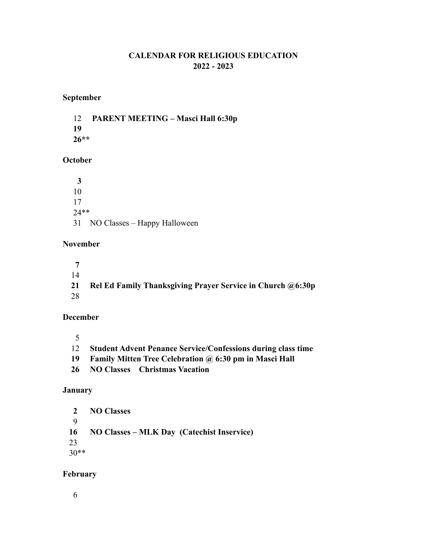### **CALENDAR FOR RELIGIOUS EDUCATION 2022 - 2023**

## **September**

12 **PARENT MEETING – Masci Hall 6:30p 19 26\*\*** 

### **October**

 **3** 10 17 24\*\* 31 NO Classes – Happy Halloween

#### **November**

 **7**  14  **21 Rel Ed Family Thanksgiving Prayer Service in Church @6:30p** 28

#### **December**

5

- 12 **Student Advent Penance Service/Confessions during class time**
- **19 Family Mitten Tree Celebration @ 6:30 pm in Masci Hall**
- **26 NO Classes Christmas Vacation**

### **January**

 **2 NO Classes**  9  **16 NO Classes – MLK Day (Catechist Inservice)** 23 30\*\*

### **February**

6